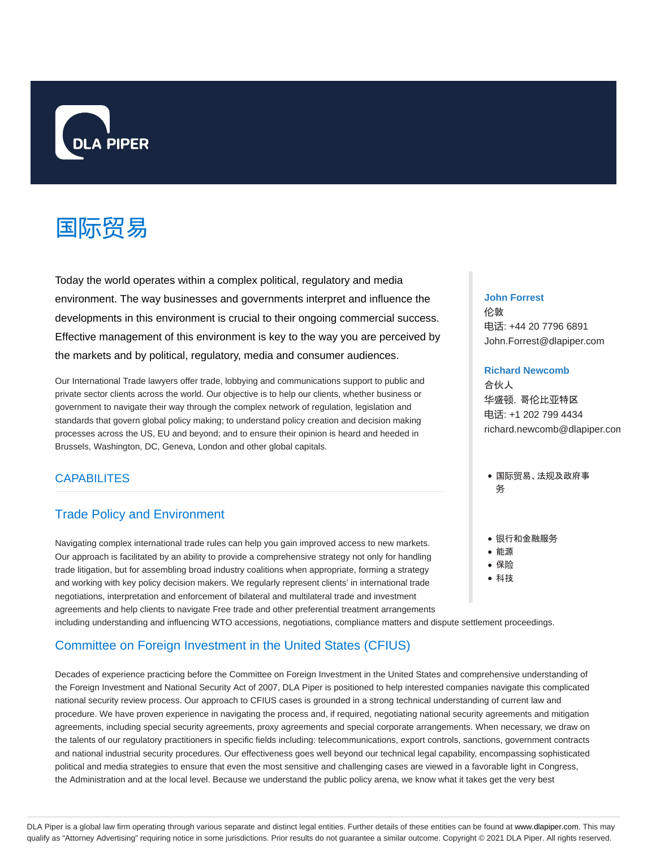

# 国际贸易

Today the world operates within a complex political, regulatory and media environment. The way businesses and governments interpret and influence the developments in this environment is crucial to their ongoing commercial success. Effective management of this environment is key to the way you are perceived by the markets and by political, regulatory, media and consumer audiences.

Our International Trade lawyers offer trade, lobbying and communications support to public and private sector clients across the world. Our objective is to help our clients, whether business or government to navigate their way through the complex network of regulation, legislation and standards that govern global policy making; to understand policy creation and decision making processes across the US, EU and beyond; and to ensure their opinion is heard and heeded in Brussels, Washington, DC, Geneva, London and other global capitals.

# **CAPABILITES**

# Trade Policy and Environment

Navigating complex international trade rules can help you gain improved access to new markets. Our approach is facilitated by an ability to provide a comprehensive strategy not only for handling trade litigation, but for assembling broad industry coalitions when appropriate, forming a strategy and working with key policy decision makers. We regularly represent clients' in international trade negotiations, interpretation and enforcement of bilateral and multilateral trade and investment agreements and help clients to navigate Free trade and other preferential treatment arrangements including understanding and influencing WTO accessions, negotiations, compliance matters and dispute settlement proceedings.

# Committee on Foreign Investment in the United States (CFIUS)

Decades of experience practicing before the Committee on Foreign Investment in the United States and comprehensive understanding of the Foreign Investment and National Security Act of 2007, DLA Piper is positioned to help interested companies navigate this complicated national security review process. Our approach to CFIUS cases is grounded in a strong technical understanding of current law and procedure. We have proven experience in navigating the process and, if required, negotiating national security agreements and mitigation agreements, including special security agreements, proxy agreements and special corporate arrangements. When necessary, we draw on the talents of our regulatory practitioners in specific fields including: telecommunications, export controls, sanctions, government contracts and national industrial security procedures. Our effectiveness goes well beyond our technical legal capability, encompassing sophisticated political and media strategies to ensure that even the most sensitive and challenging cases are viewed in a favorable light in Congress, the Administration and at the local level. Because we understand the public policy arena, we know what it takes get the very best

#### **John Forrest**

伦敦 电话: +44 20 7796 6891 John.Forrest@dlapiper.com

#### **Richard Newcomb**

合伙人 华盛顿,哥伦比亚特区 电话: +1 202 799 4434 richard.newcomb@dlapiper.com

- 国际贸易、法规及政府事 务
- 银行和金融服务
- 能源
- 保险
- 科技

DLA Piper is a global law firm operating through various separate and distinct legal entities. Further details of these entities can be found at www.dlapiper.com. This may qualify as "Attorney Advertising" requiring notice in some jurisdictions. Prior results do not guarantee a similar outcome. Copyright @ 2021 DLA Piper. All rights reserved.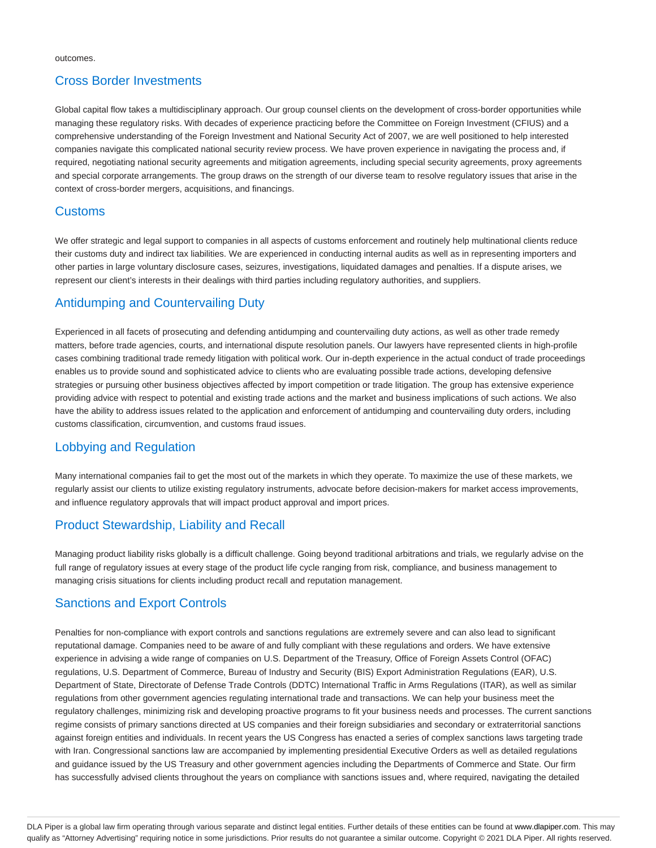#### Cross Border Investments

Global capital flow takes a multidisciplinary approach. Our group counsel clients on the development of cross-border opportunities while managing these regulatory risks. With decades of experience practicing before the Committee on Foreign Investment (CFIUS) and a comprehensive understanding of the Foreign Investment and National Security Act of 2007, we are well positioned to help interested companies navigate this complicated national security review process. We have proven experience in navigating the process and, if required, negotiating national security agreements and mitigation agreements, including special security agreements, proxy agreements and special corporate arrangements. The group draws on the strength of our diverse team to resolve regulatory issues that arise in the context of cross-border mergers, acquisitions, and financings.

#### Customs

We offer strategic and legal support to companies in all aspects of customs enforcement and routinely help multinational clients reduce their customs duty and indirect tax liabilities. We are experienced in conducting internal audits as well as in representing importers and other parties in large voluntary disclosure cases, seizures, investigations, liquidated damages and penalties. If a dispute arises, we represent our client's interests in their dealings with third parties including regulatory authorities, and suppliers.

# Antidumping and Countervailing Duty

Experienced in all facets of prosecuting and defending antidumping and countervailing duty actions, as well as other trade remedy matters, before trade agencies, courts, and international dispute resolution panels. Our lawyers have represented clients in high-profile cases combining traditional trade remedy litigation with political work. Our in-depth experience in the actual conduct of trade proceedings enables us to provide sound and sophisticated advice to clients who are evaluating possible trade actions, developing defensive strategies or pursuing other business objectives affected by import competition or trade litigation. The group has extensive experience providing advice with respect to potential and existing trade actions and the market and business implications of such actions. We also have the ability to address issues related to the application and enforcement of antidumping and countervailing duty orders, including customs classification, circumvention, and customs fraud issues.

# Lobbying and Regulation

Many international companies fail to get the most out of the markets in which they operate. To maximize the use of these markets, we regularly assist our clients to utilize existing regulatory instruments, advocate before decision-makers for market access improvements, and influence regulatory approvals that will impact product approval and import prices.

# Product Stewardship, Liability and Recall

Managing product liability risks globally is a difficult challenge. Going beyond traditional arbitrations and trials, we regularly advise on the full range of regulatory issues at every stage of the product life cycle ranging from risk, compliance, and business management to managing crisis situations for clients including product recall and reputation management.

# Sanctions and Export Controls

Penalties for non-compliance with export controls and sanctions regulations are extremely severe and can also lead to significant reputational damage. Companies need to be aware of and fully compliant with these regulations and orders. We have extensive experience in advising a wide range of companies on U.S. Department of the Treasury, Office of Foreign Assets Control (OFAC) regulations, U.S. Department of Commerce, Bureau of Industry and Security (BIS) Export Administration Regulations (EAR), U.S. Department of State, Directorate of Defense Trade Controls (DDTC) International Traffic in Arms Regulations (ITAR), as well as similar regulations from other government agencies regulating international trade and transactions. We can help your business meet the regulatory challenges, minimizing risk and developing proactive programs to fit your business needs and processes. The current sanctions regime consists of primary sanctions directed at US companies and their foreign subsidiaries and secondary or extraterritorial sanctions against foreign entities and individuals. In recent years the US Congress has enacted a series of complex sanctions laws targeting trade with Iran. Congressional sanctions law are accompanied by implementing presidential Executive Orders as well as detailed regulations and guidance issued by the US Treasury and other government agencies including the Departments of Commerce and State. Our firm has successfully advised clients throughout the years on compliance with sanctions issues and, where required, navigating the detailed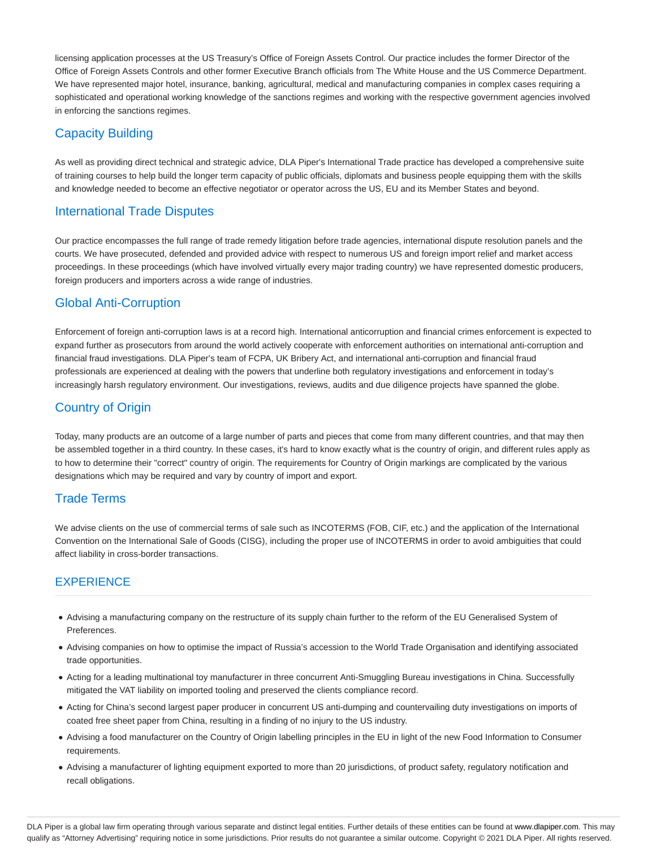licensing application processes at the US Treasury's Office of Foreign Assets Control. Our practice includes the former Director of the Office of Foreign Assets Controls and other former Executive Branch officials from The White House and the US Commerce Department. We have represented major hotel, insurance, banking, agricultural, medical and manufacturing companies in complex cases requiring a sophisticated and operational working knowledge of the sanctions regimes and working with the respective government agencies involved in enforcing the sanctions regimes.

#### Capacity Building

As well as providing direct technical and strategic advice, DLA Piper's International Trade practice has developed a comprehensive suite of training courses to help build the longer term capacity of public officials, diplomats and business people equipping them with the skills and knowledge needed to become an effective negotiator or operator across the US, EU and its Member States and beyond.

#### International Trade Disputes

Our practice encompasses the full range of trade remedy litigation before trade agencies, international dispute resolution panels and the courts. We have prosecuted, defended and provided advice with respect to numerous US and foreign import relief and market access proceedings. In these proceedings (which have involved virtually every major trading country) we have represented domestic producers, foreign producers and importers across a wide range of industries.

# Global Anti-Corruption

Enforcement of foreign anti-corruption laws is at a record high. International anticorruption and financial crimes enforcement is expected to expand further as prosecutors from around the world actively cooperate with enforcement authorities on international anti-corruption and financial fraud investigations. DLA Piper's team of FCPA, UK Bribery Act, and international anti-corruption and financial fraud professionals are experienced at dealing with the powers that underline both regulatory investigations and enforcement in today's increasingly harsh regulatory environment. Our investigations, reviews, audits and due diligence projects have spanned the globe.

# Country of Origin

Today, many products are an outcome of a large number of parts and pieces that come from many different countries, and that may then be assembled together in a third country. In these cases, it's hard to know exactly what is the country of origin, and different rules apply as to how to determine their "correct" country of origin. The requirements for Country of Origin markings are complicated by the various designations which may be required and vary by country of import and export.

#### Trade Terms

We advise clients on the use of commercial terms of sale such as INCOTERMS (FOB, CIF, etc.) and the application of the International Convention on the International Sale of Goods (CISG), including the proper use of INCOTERMS in order to avoid ambiguities that could affect liability in cross-border transactions.

#### **EXPERIENCE**

- Advising a manufacturing company on the restructure of its supply chain further to the reform of the EU Generalised System of Preferences.
- Advising companies on how to optimise the impact of Russia's accession to the World Trade Organisation and identifying associated trade opportunities.
- Acting for a leading multinational toy manufacturer in three concurrent Anti-Smuggling Bureau investigations in China. Successfully mitigated the VAT liability on imported tooling and preserved the clients compliance record.
- Acting for China's second largest paper producer in concurrent US anti-dumping and countervailing duty investigations on imports of coated free sheet paper from China, resulting in a finding of no injury to the US industry.
- Advising a food manufacturer on the Country of Origin labelling principles in the EU in light of the new Food Information to Consumer requirements.
- Advising a manufacturer of lighting equipment exported to more than 20 jurisdictions, of product safety, regulatory notification and recall obligations.